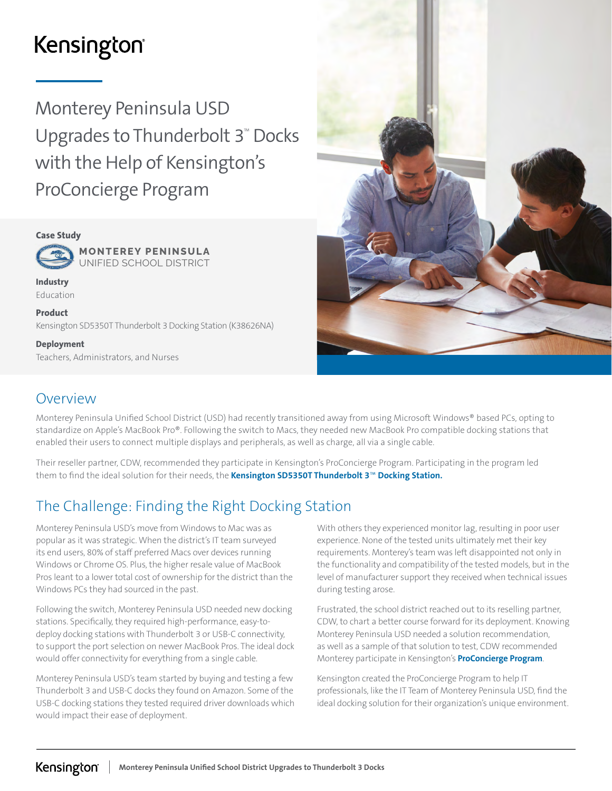# Kensington®

Monterey Peninsula USD Upgrades to Thunderbolt  $3^{\omega}$  Docks with the Help of Kensington's ProConcierge Program



**MONTEREY PENINSULA** UNIFIED SCHOOL DISTRICT

Industry Education

Product Kensington SD5350T Thunderbolt 3 Docking Station (K38626NA)

Deployment Teachers, Administrators, and Nurses



### Overview

Monterey Peninsula Unified School District (USD) had recently transitioned away from using Microsoft Windows® based PCs, opting to standardize on Apple's MacBook Pro®. Following the switch to Macs, they needed new MacBook Pro compatible docking stations that enabled their users to connect multiple displays and peripherals, as well as charge, all via a single cable.

Their reseller partner, CDW, recommended they participate in Kensington's ProConcierge Program. Participating in the program led them to find the ideal solution for their needs, the [Kensington SD5350T Thunderbolt 3](https://www.kensington.com/p/products/connectivity/universal-laptop-docking-stations/sd5300t-and-sd5350t-thunderbolt-3-40gbps-dual-4k-dock-sd-card-reader-135w-adapter-winmac/)™ Docking Station.

# The Challenge: Finding the Right Docking Station

Monterey Peninsula USD's move from Windows to Mac was as popular as it was strategic. When the district's IT team surveyed its end users, 80% of staff preferred Macs over devices running Windows or Chrome OS. Plus, the higher resale value of MacBook Pros leant to a lower total cost of ownership for the district than the Windows PCs they had sourced in the past.

Following the switch, Monterey Peninsula USD needed new docking stations. Specifically, they required high-performance, easy-todeploy docking stations with Thunderbolt 3 or USB-C connectivity, to support the port selection on newer MacBook Pros. The ideal dock would offer connectivity for everything from a single cable.

Monterey Peninsula USD's team started by buying and testing a few Thunderbolt 3 and USB-C docks they found on Amazon. Some of the USB-C docking stations they tested required driver downloads which would impact their ease of deployment.

With others they experienced monitor lag, resulting in poor user experience. None of the tested units ultimately met their key requirements. Monterey's team was left disappointed not only in the functionality and compatibility of the tested models, but in the level of manufacturer support they received when technical issues during testing arose.

Frustrated, the school district reached out to its reselling partner, CDW, to chart a better course forward for its deployment. Knowing Monterey Peninsula USD needed a solution recommendation, as well as a sample of that solution to test, CDW recommended Monterey participate in Kensington's [ProConcierge Program](https://www.kensington.com/proconcierge).

Kensington created the ProConcierge Program to help IT professionals, like the IT Team of Monterey Peninsula USD, find the ideal docking solution for their organization's unique environment.